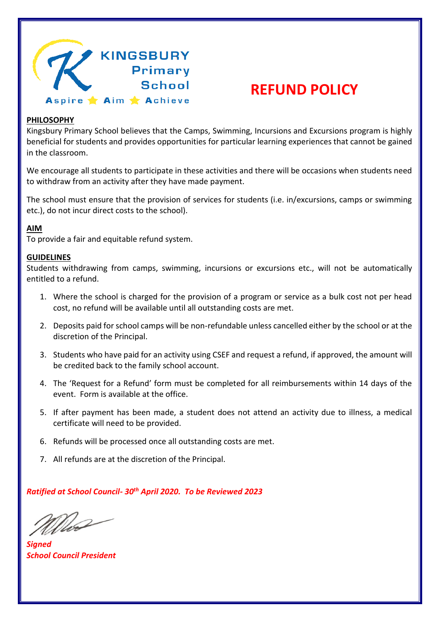

## **REFUND POLICY**

## **PHILOSOPHY**

Kingsbury Primary School believes that the Camps, Swimming, Incursions and Excursions program is highly beneficial for students and provides opportunities for particular learning experiences that cannot be gained in the classroom.

We encourage all students to participate in these activities and there will be occasions when students need to withdraw from an activity after they have made payment.

The school must ensure that the provision of services for students (i.e. in/excursions, camps or swimming etc.), do not incur direct costs to the school).

## **AIM**

To provide a fair and equitable refund system.

## **GUIDELINES**

Students withdrawing from camps, swimming, incursions or excursions etc., will not be automatically entitled to a refund.

- 1. Where the school is charged for the provision of a program or service as a bulk cost not per head cost, no refund will be available until all outstanding costs are met.
- 2. Deposits paid for school camps will be non-refundable unless cancelled either by the school or at the discretion of the Principal.
- 3. Students who have paid for an activity using CSEF and request a refund, if approved, the amount will be credited back to the family school account.
- 4. The 'Request for a Refund' form must be completed for all reimbursements within 14 days of the event. Form is available at the office.
- 5. If after payment has been made, a student does not attend an activity due to illness, a medical certificate will need to be provided.
- 6. Refunds will be processed once all outstanding costs are met.
- 7. All refunds are at the discretion of the Principal.

*Ratified at School Council- 30th April 2020. To be Reviewed 2023*

Mas

*Signed School Council President*